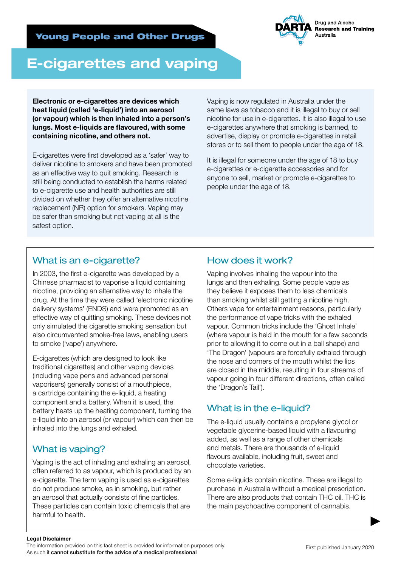

# E-cigarettes and vaping

Electronic or e-cigarettes are devices which heat liquid (called 'e-liquid') into an aerosol (or vapour) which is then inhaled into a person's lungs. Most e-liquids are flavoured, with some containing nicotine, and others not.

E-cigarettes were first developed as a 'safer' way to deliver nicotine to smokers and have been promoted as an effective way to quit smoking. Research is still being conducted to establish the harms related to e-cigarette use and health authorities are still divided on whether they offer an alternative nicotine replacement (NR) option for smokers. Vaping may be safer than smoking but not vaping at all is the safest option.

Vaping is now regulated in Australia under the same laws as tobacco and it is illegal to buy or sell nicotine for use in e-cigarettes. It is also illegal to use e-cigarettes anywhere that smoking is banned, to advertise, display or promote e-cigarettes in retail stores or to sell them to people under the age of 18.

It is illegal for someone under the age of 18 to buy e-cigarettes or e-cigarette accessories and for anyone to sell, market or promote e-cigarettes to people under the age of 18.

# What is an e-cigarette?

In 2003, the first e-cigarette was developed by a Chinese pharmacist to vaporise a liquid containing nicotine, providing an alternative way to inhale the drug. At the time they were called 'electronic nicotine delivery systems' (ENDS) and were promoted as an effective way of quitting smoking. These devices not only simulated the cigarette smoking sensation but also circumvented smoke-free laws, enabling users to smoke ('vape') anywhere.

E-cigarettes (which are designed to look like traditional cigarettes) and other vaping devices (including vape pens and advanced personal vaporisers) generally consist of a mouthpiece, a cartridge containing the e-liquid, a heating component and a battery. When it is used, the battery heats up the heating component, turning the e-liquid into an aerosol (or vapour) which can then be inhaled into the lungs and exhaled.

# What is vaping?

Vaping is the act of inhaling and exhaling an aerosol, often referred to as vapour, which is produced by an e-cigarette. The term vaping is used as e-cigarettes do not produce smoke, as in smoking, but rather an aerosol that actually consists of fine particles. These particles can contain toxic chemicals that are harmful to health.

# How does it work?

Vaping involves inhaling the vapour into the lungs and then exhaling. Some people vape as they believe it exposes them to less chemicals than smoking whilst still getting a nicotine high. Others vape for entertainment reasons, particularly the performance of vape tricks with the exhaled vapour. Common tricks include the 'Ghost Inhale' (where vapour is held in the mouth for a few seconds prior to allowing it to come out in a ball shape) and 'The Dragon' (vapours are forcefully exhaled through the nose and corners of the mouth whilst the lips are closed in the middle, resulting in four streams of vapour going in four different directions, often called the 'Dragon's Tail').

## What is in the e-liquid?

The e-liquid usually contains a propylene glycol or vegetable glycerine-based liquid with a flavouring added, as well as a range of other chemicals and metals. There are thousands of e-liquid flavours available, including fruit, sweet and chocolate varieties.

Some e-liquids contain nicotine. These are illegal to purchase in Australia without a medical prescription. There are also products that contain THC oil. THC is the main psychoactive component of cannabis.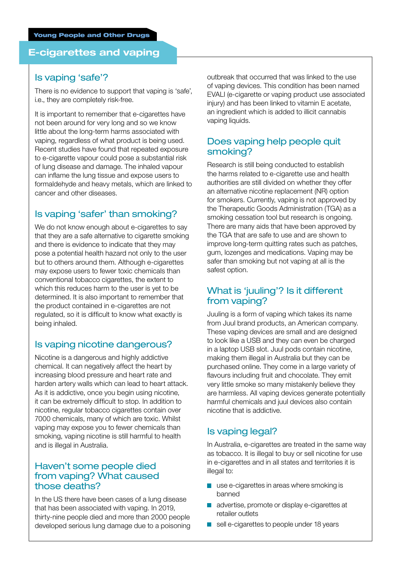#### E-cigarettes and vaping

#### Is vaping 'safe'?

There is no evidence to support that vaping is 'safe', i.e., they are completely risk-free.

It is important to remember that e-cigarettes have not been around for very long and so we know little about the long-term harms associated with vaping, regardless of what product is being used. Recent studies have found that repeated exposure to e-cigarette vapour could pose a substantial risk of lung disease and damage. The inhaled vapour can inflame the lung tissue and expose users to formaldehyde and heavy metals, which are linked to cancer and other diseases.

#### Is vaping 'safer' than smoking?

We do not know enough about e-cigarettes to say that they are a safe alternative to cigarette smoking and there is evidence to indicate that they may pose a potential health hazard not only to the user but to others around them. Although e-cigarettes may expose users to fewer toxic chemicals than conventional tobacco cigarettes, the extent to which this reduces harm to the user is yet to be determined. It is also important to remember that the product contained in e-cigarettes are not regulated, so it is difficult to know what exactly is being inhaled.

#### Is vaping nicotine dangerous?

Nicotine is a dangerous and highly addictive chemical. It can negatively affect the heart by increasing blood pressure and heart rate and harden artery walls which can lead to heart attack. As it is addictive, once you begin using nicotine, it can be extremely difficult to stop. In addition to nicotine, regular tobacco cigarettes contain over 7000 chemicals, many of which are toxic. Whilst vaping may expose you to fewer chemicals than smoking, vaping nicotine is still harmful to health and is illegal in Australia.

#### Haven't some people died from vaping? What caused those deaths?

In the US there have been cases of a lung disease that has been associated with vaping. In 2019, thirty-nine people died and more than 2000 people developed serious lung damage due to a poisoning outbreak that occurred that was linked to the use of vaping devices. This condition has been named EVALI (e-cigarette or vaping product use associated injury) and has been linked to vitamin E acetate. an ingredient which is added to illicit cannabis vaping liquids.

#### Does vaping help people quit smoking?

Research is still being conducted to establish the harms related to e-cigarette use and health authorities are still divided on whether they offer an alternative nicotine replacement (NR) option for smokers. Currently, vaping is not approved by the Therapeutic Goods Administration (TGA) as a smoking cessation tool but research is ongoing. There are many aids that have been approved by the TGA that are safe to use and are shown to improve long-term quitting rates such as patches, gum, lozenges and medications. Vaping may be safer than smoking but not vaping at all is the safest option.

#### What is 'juuling'? Is it different from vaping?

Juuling is a form of vaping which takes its name from Juul brand products, an American company. These vaping devices are small and are designed to look like a USB and they can even be charged in a laptop USB slot. Juul pods contain nicotine, making them illegal in Australia but they can be purchased online. They come in a large variety of flavours including fruit and chocolate. They emit very little smoke so many mistakenly believe they are harmless. All vaping devices generate potentially harmful chemicals and juul devices also contain nicotine that is addictive.

#### Is vaping legal?

In Australia, e-cigarettes are treated in the same way as tobacco. It is illegal to buy or sell nicotine for use in e-cigarettes and in all states and territories it is illegal to:

- use e-cigarettes in areas where smoking is banned
- advertise, promote or display e-cigarettes at retailer outlets
- sell e-cigarettes to people under 18 years